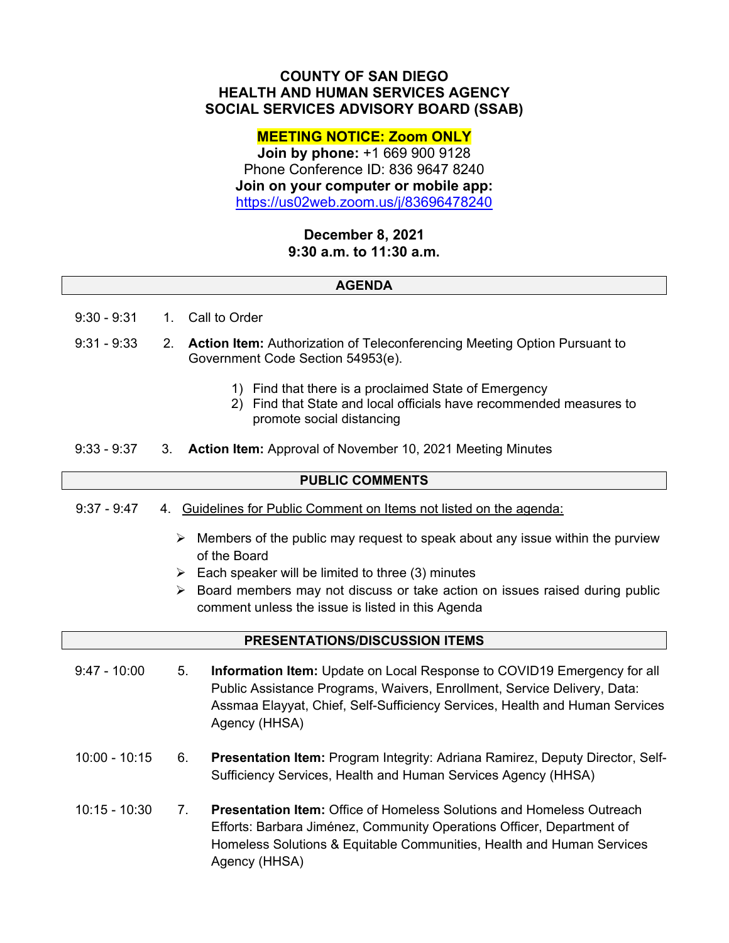# **COUNTY OF SAN DIEGO HEALTH AND HUMAN SERVICES AGENCY SOCIAL SERVICES ADVISORY BOARD (SSAB)**

# **MEETING NOTICE: Zoom ONLY**

**Join by phone:** +1 669 900 9128 Phone Conference ID: 836 9647 8240 **Join on your computer or mobile app:**  https://us02web.zoom.us/j/83696478240

# **December 8, 2021 9:30 a.m. to 11:30 a.m.**

### **AGENDA**

- 9:30 9:31 1. Call to Order
- 9:31 9:33 2. **Action Item:** Authorization of Teleconferencing Meeting Option Pursuant to Government Code Section 54953(e).
	- 1) Find that there is a proclaimed State of Emergency
	- 2) Find that State and local officials have recommended measures to promote social distancing
- 9:33 9:37 3. **Action Item:** Approval of November 10, 2021 Meeting Minutes

### **PUBLIC COMMENTS**

- 9:37 9:47 4. Guidelines for Public Comment on Items not listed on the agenda:
	- $\triangleright$  Members of the public may request to speak about any issue within the purview of the Board
	- $\triangleright$  Each speaker will be limited to three (3) minutes
	- $\triangleright$  Board members may not discuss or take action on issues raised during public comment unless the issue is listed in this Agenda

#### **PRESENTATIONS/DISCUSSION ITEMS**

- 9:47 10:00 5. **Information Item:** Update on Local Response to COVID19 Emergency for all Public Assistance Programs, Waivers, Enrollment, Service Delivery, Data: Assmaa Elayyat, Chief, Self-Sufficiency Services, Health and Human Services Agency (HHSA)
- 10:00 10:15 6. **Presentation Item:** Program Integrity: Adriana Ramirez, Deputy Director, Self-Sufficiency Services, Health and Human Services Agency (HHSA)
- 10:15 10:30 7. **Presentation Item:** Office of Homeless Solutions and Homeless Outreach Efforts: Barbara Jiménez, Community Operations Officer, Department of Homeless Solutions & Equitable Communities, Health and Human Services Agency (HHSA)